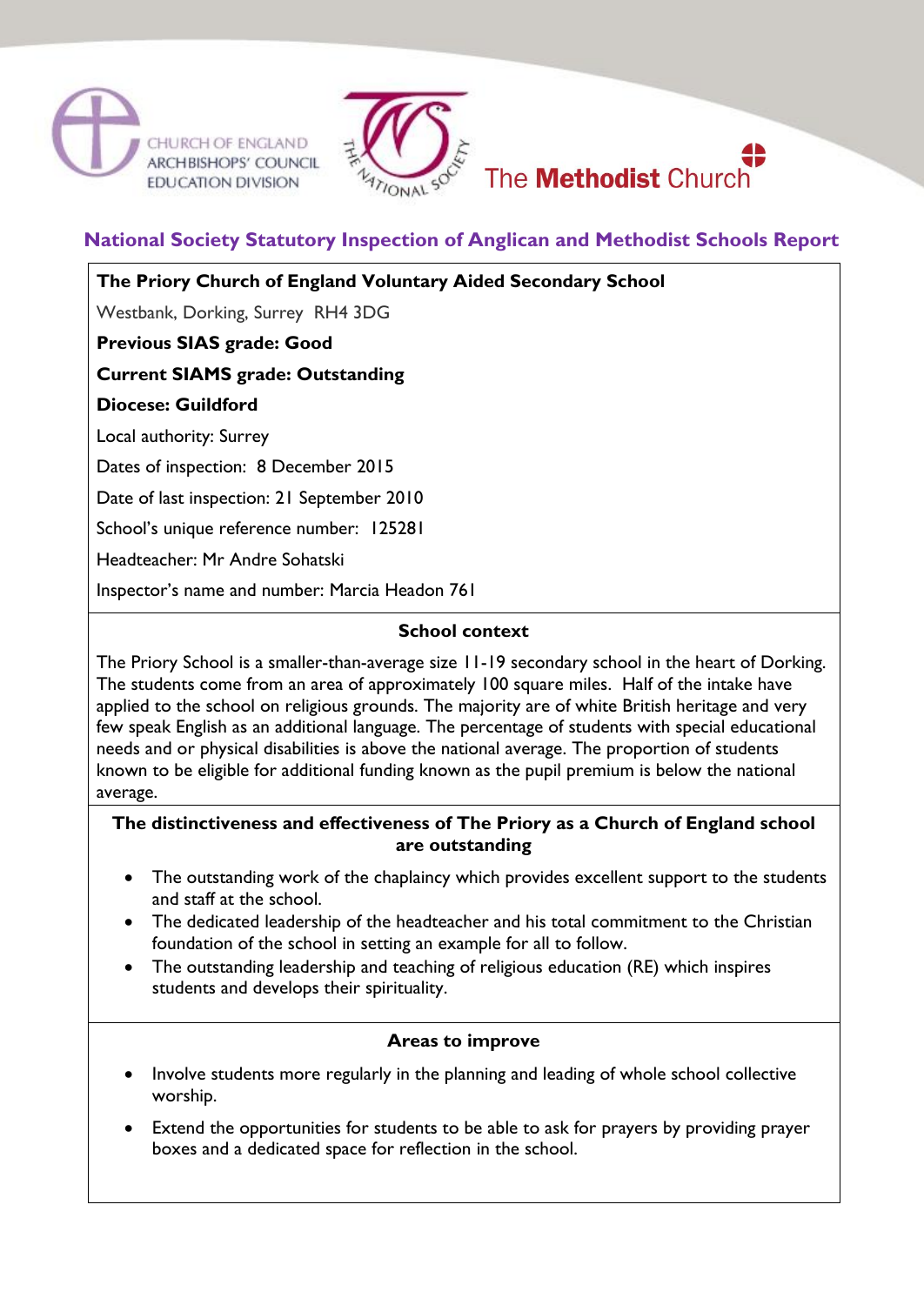





**National Society Statutory Inspection of Anglican and Methodist Schools Report**

**The Priory Church of England Voluntary Aided Secondary School**

Westbank, Dorking, Surrey RH4 3DG

**Previous SIAS grade: Good** 

# **Current SIAMS grade: Outstanding**

**Diocese: Guildford**

Local authority: Surrey

Dates of inspection: 8 December 2015

Date of last inspection: 21 September 2010

School's unique reference number: 125281

Headteacher: Mr Andre Sohatski

Inspector's name and number: Marcia Headon 761

## **School context**

The Priory School is a smaller-than-average size 11-19 secondary school in the heart of Dorking. The students come from an area of approximately 100 square miles. Half of the intake have applied to the school on religious grounds. The majority are of white British heritage and very few speak English as an additional language. The percentage of students with special educational needs and or physical disabilities is above the national average. The proportion of students known to be eligible for additional funding known as the pupil premium is below the national average.

## **The distinctiveness and effectiveness of The Priory as a Church of England school are outstanding**

- The outstanding work of the chaplaincy which provides excellent support to the students and staff at the school.
- The dedicated leadership of the headteacher and his total commitment to the Christian foundation of the school in setting an example for all to follow.
- The outstanding leadership and teaching of religious education (RE) which inspires students and develops their spirituality.

## **Areas to improve**

- Involve students more regularly in the planning and leading of whole school collective worship.
- Extend the opportunities for students to be able to ask for prayers by providing prayer boxes and a dedicated space for reflection in the school.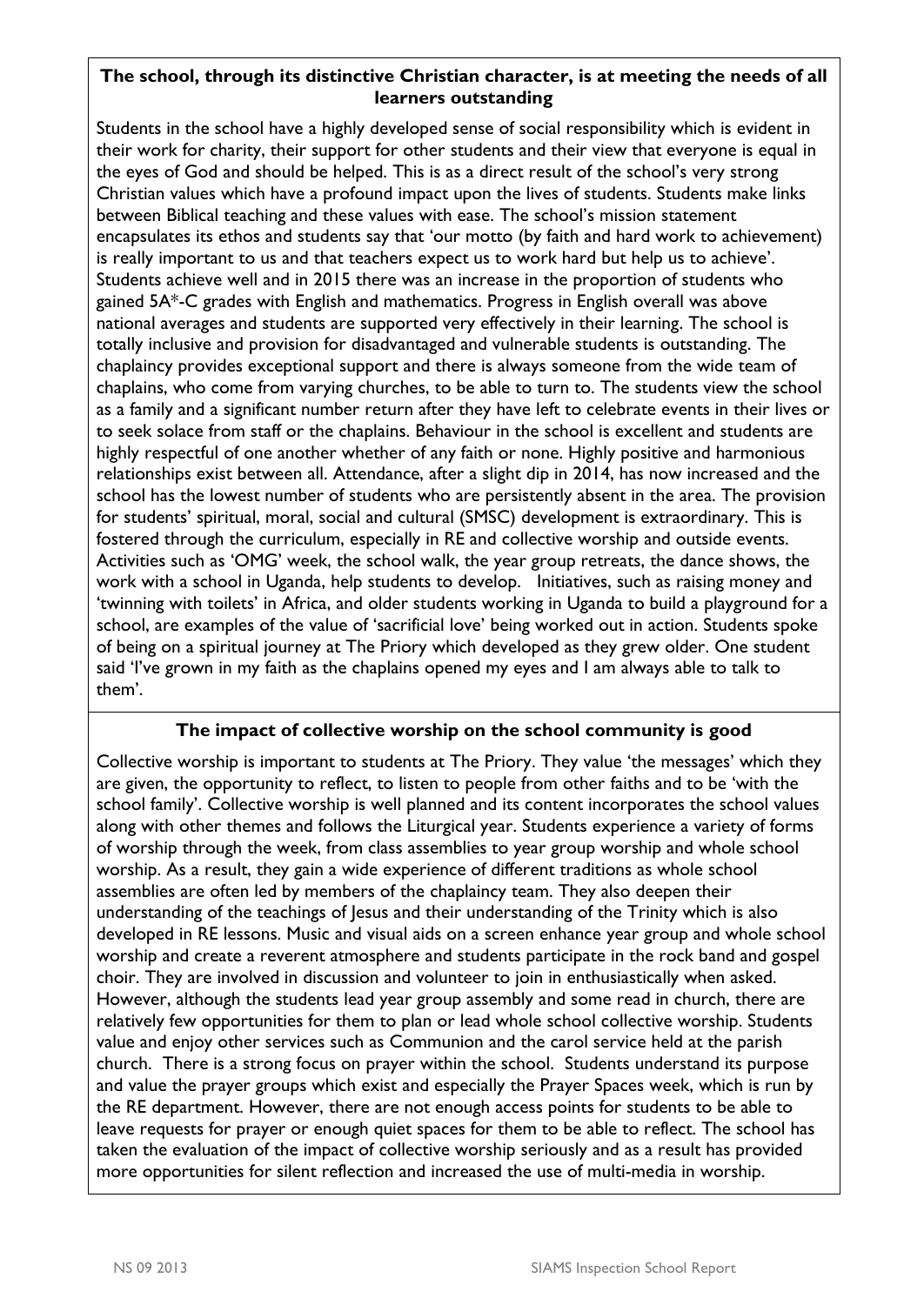## **The school, through its distinctive Christian character, is at meeting the needs of all learners outstanding**

Students in the school have a highly developed sense of social responsibility which is evident in their work for charity, their support for other students and their view that everyone is equal in the eyes of God and should be helped. This is as a direct result of the school's very strong Christian values which have a profound impact upon the lives of students. Students make links between Biblical teaching and these values with ease. The school's mission statement encapsulates its ethos and students say that 'our motto (by faith and hard work to achievement) is really important to us and that teachers expect us to work hard but help us to achieve'. Students achieve well and in 2015 there was an increase in the proportion of students who gained 5A\*-C grades with English and mathematics. Progress in English overall was above national averages and students are supported very effectively in their learning. The school is totally inclusive and provision for disadvantaged and vulnerable students is outstanding. The chaplaincy provides exceptional support and there is always someone from the wide team of chaplains, who come from varying churches, to be able to turn to. The students view the school as a family and a significant number return after they have left to celebrate events in their lives or to seek solace from staff or the chaplains. Behaviour in the school is excellent and students are highly respectful of one another whether of any faith or none. Highly positive and harmonious relationships exist between all. Attendance, after a slight dip in 2014, has now increased and the school has the lowest number of students who are persistently absent in the area. The provision for students' spiritual, moral, social and cultural (SMSC) development is extraordinary. This is fostered through the curriculum, especially in RE and collective worship and outside events. Activities such as 'OMG' week, the school walk, the year group retreats, the dance shows, the work with a school in Uganda, help students to develop. Initiatives, such as raising money and 'twinning with toilets' in Africa, and older students working in Uganda to build a playground for a school, are examples of the value of 'sacrificial love' being worked out in action. Students spoke of being on a spiritual journey at The Priory which developed as they grew older. One student said 'I've grown in my faith as the chaplains opened my eyes and I am always able to talk to them'.

## **The impact of collective worship on the school community is good**

Collective worship is important to students at The Priory. They value 'the messages' which they are given, the opportunity to reflect, to listen to people from other faiths and to be 'with the school family'. Collective worship is well planned and its content incorporates the school values along with other themes and follows the Liturgical year. Students experience a variety of forms of worship through the week, from class assemblies to year group worship and whole school worship. As a result, they gain a wide experience of different traditions as whole school assemblies are often led by members of the chaplaincy team. They also deepen their understanding of the teachings of Jesus and their understanding of the Trinity which is also developed in RE lessons. Music and visual aids on a screen enhance year group and whole school worship and create a reverent atmosphere and students participate in the rock band and gospel choir. They are involved in discussion and volunteer to join in enthusiastically when asked. However, although the students lead year group assembly and some read in church, there are relatively few opportunities for them to plan or lead whole school collective worship. Students value and enjoy other services such as Communion and the carol service held at the parish church. There is a strong focus on prayer within the school. Students understand its purpose and value the prayer groups which exist and especially the Prayer Spaces week, which is run by the RE department. However, there are not enough access points for students to be able to leave requests for prayer or enough quiet spaces for them to be able to reflect. The school has taken the evaluation of the impact of collective worship seriously and as a result has provided more opportunities for silent reflection and increased the use of multi-media in worship.